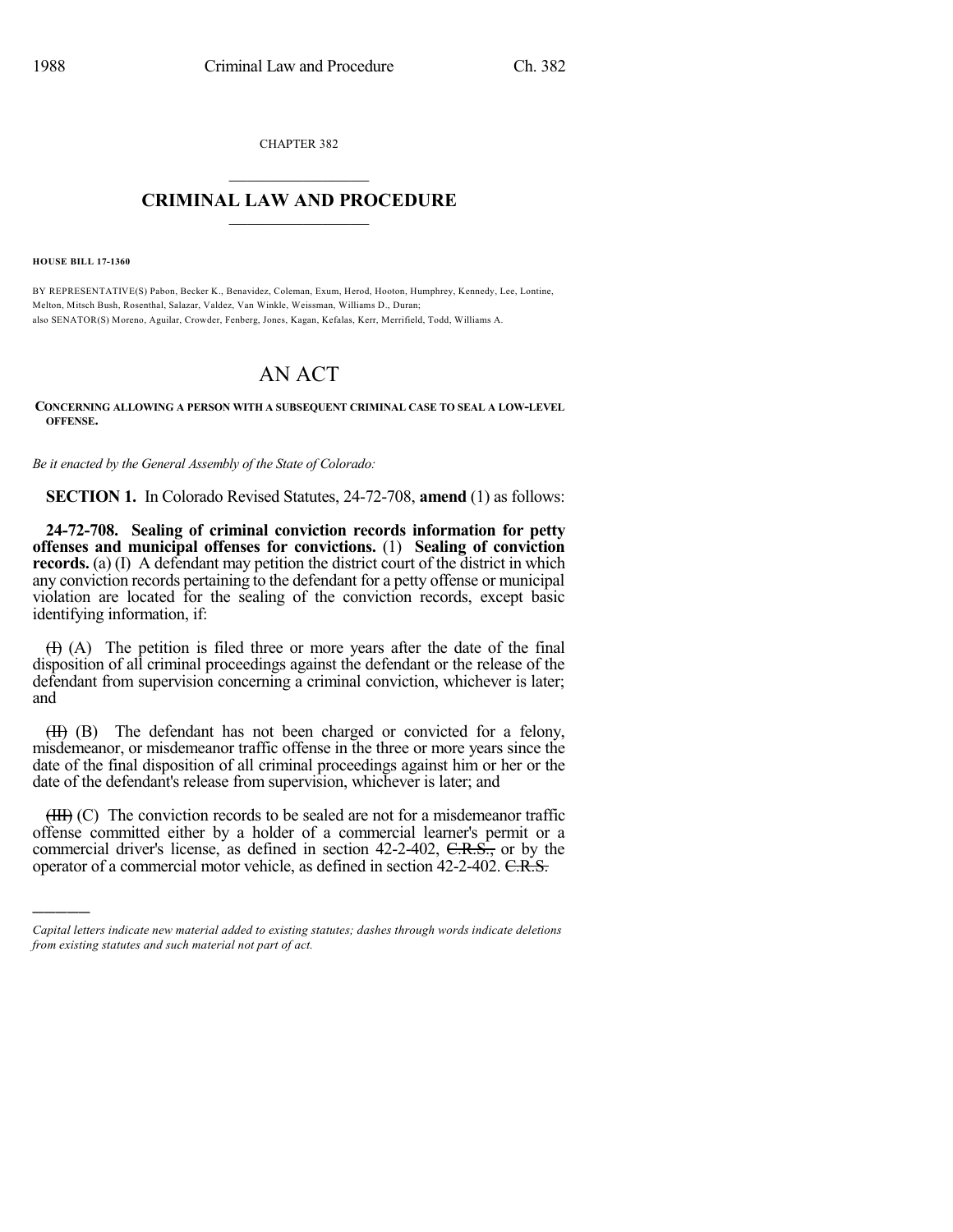CHAPTER 382  $\mathcal{L}_\text{max}$  . The set of the set of the set of the set of the set of the set of the set of the set of the set of the set of the set of the set of the set of the set of the set of the set of the set of the set of the set

## **CRIMINAL LAW AND PROCEDURE**  $\frac{1}{2}$  ,  $\frac{1}{2}$  ,  $\frac{1}{2}$  ,  $\frac{1}{2}$  ,  $\frac{1}{2}$  ,  $\frac{1}{2}$  ,  $\frac{1}{2}$

**HOUSE BILL 17-1360**

)))))

BY REPRESENTATIVE(S) Pabon, Becker K., Benavidez, Coleman, Exum, Herod, Hooton, Humphrey, Kennedy, Lee, Lontine, Melton, Mitsch Bush, Rosenthal, Salazar, Valdez, Van Winkle, Weissman, Williams D., Duran; also SENATOR(S) Moreno, Aguilar, Crowder, Fenberg, Jones, Kagan, Kefalas, Kerr, Merrifield, Todd, Williams A.

## AN ACT

**CONCERNING ALLOWING A PERSON WITH A SUBSEQUENT CRIMINAL CASE TO SEAL A LOW-LEVEL OFFENSE.**

*Be it enacted by the General Assembly of the State of Colorado:*

**SECTION 1.** In Colorado Revised Statutes, 24-72-708, **amend** (1) as follows:

**24-72-708. Sealing of criminal conviction records information for petty offenses and municipal offenses for convictions.** (1) **Sealing of conviction records.** (a) (I) A defendant may petition the district court of the district in which any conviction records pertaining to the defendant for a petty offense or municipal violation are located for the sealing of the conviction records, except basic identifying information, if:

 $(H)$  (A) The petition is filed three or more years after the date of the final disposition of all criminal proceedings against the defendant or the release of the defendant from supervision concerning a criminal conviction, whichever is later; and

(II) (B) The defendant has not been charged or convicted for a felony, misdemeanor, or misdemeanor traffic offense in the three or more years since the date of the final disposition of all criminal proceedings against him or her or the date of the defendant's release from supervision, whichever is later; and

 $(HH)$  (C) The conviction records to be sealed are not for a misdemeanor traffic offense committed either by a holder of a commercial learner's permit or a commercial driver's license, as defined in section  $42-2-402$ ,  $C.R.S.,$  or by the operator of a commercial motor vehicle, as defined in section 42-2-402. C.R.S.

*Capital letters indicate new material added to existing statutes; dashes through words indicate deletions from existing statutes and such material not part of act.*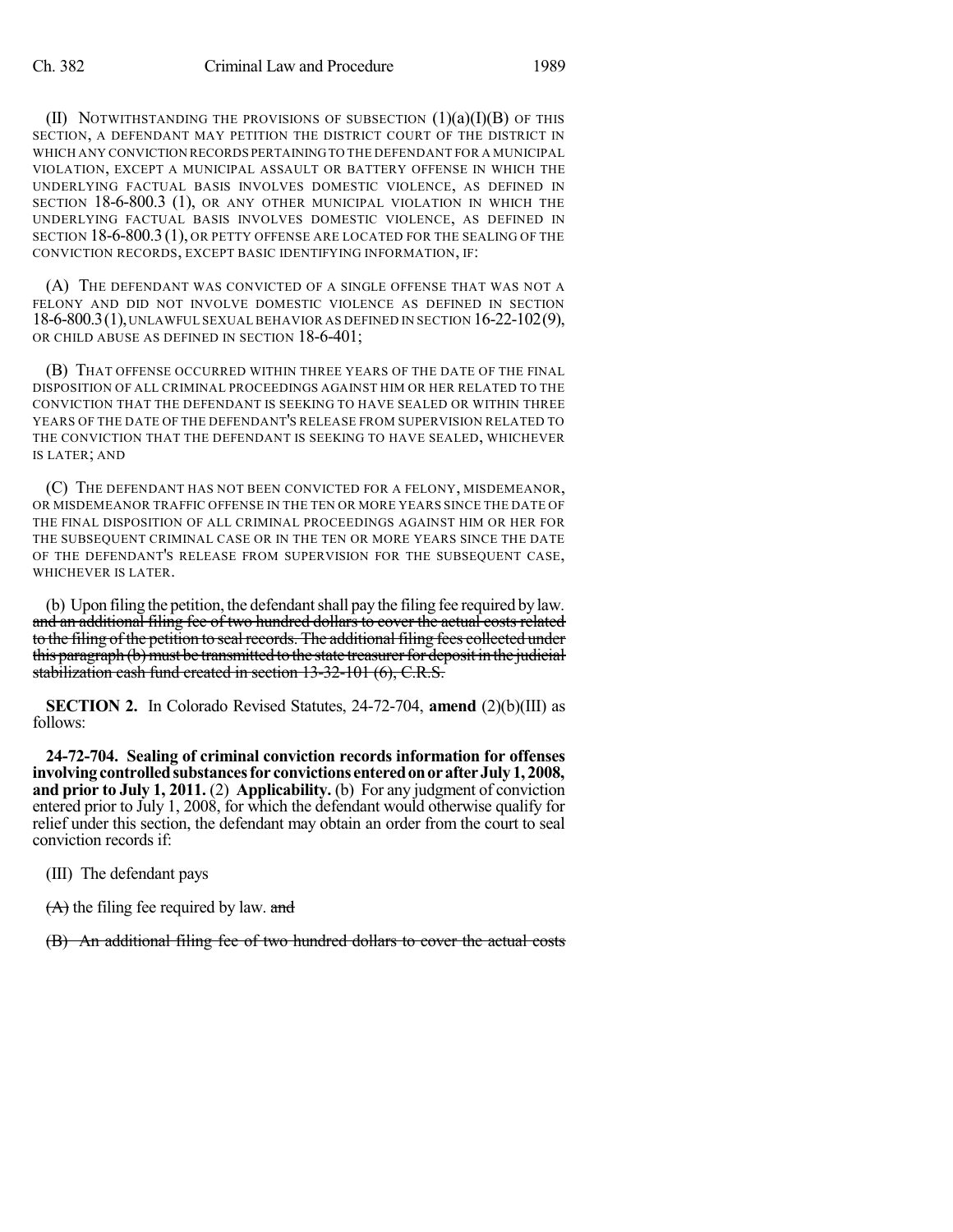(II) NOTWITHSTANDING THE PROVISIONS OF SUBSECTION  $(1)(a)(I)(B)$  OF THIS SECTION, A DEFENDANT MAY PETITION THE DISTRICT COURT OF THE DISTRICT IN WHICH ANY CONVICTION RECORDS PERTAININGTO THE DEFENDANT FOR A MUNICIPAL VIOLATION, EXCEPT A MUNICIPAL ASSAULT OR BATTERY OFFENSE IN WHICH THE UNDERLYING FACTUAL BASIS INVOLVES DOMESTIC VIOLENCE, AS DEFINED IN SECTION 18-6-800.3 (1), OR ANY OTHER MUNICIPAL VIOLATION IN WHICH THE UNDERLYING FACTUAL BASIS INVOLVES DOMESTIC VIOLENCE, AS DEFINED IN SECTION 18-6-800.3 (1), OR PETTY OFFENSE ARE LOCATED FOR THE SEALING OF THE CONVICTION RECORDS, EXCEPT BASIC IDENTIFYING INFORMATION, IF:

(A) THE DEFENDANT WAS CONVICTED OF A SINGLE OFFENSE THAT WAS NOT A FELONY AND DID NOT INVOLVE DOMESTIC VIOLENCE AS DEFINED IN SECTION 18-6-800.3(1),UNLAWFUL SEXUAL BEHAVIOR AS DEFINED IN SECTION 16-22-102(9), OR CHILD ABUSE AS DEFINED IN SECTION 18-6-401;

(B) THAT OFFENSE OCCURRED WITHIN THREE YEARS OF THE DATE OF THE FINAL DISPOSITION OF ALL CRIMINAL PROCEEDINGS AGAINST HIM OR HER RELATED TO THE CONVICTION THAT THE DEFENDANT IS SEEKING TO HAVE SEALED OR WITHIN THREE YEARS OF THE DATE OF THE DEFENDANT'S RELEASE FROM SUPERVISION RELATED TO THE CONVICTION THAT THE DEFENDANT IS SEEKING TO HAVE SEALED, WHICHEVER IS LATER; AND

(C) THE DEFENDANT HAS NOT BEEN CONVICTED FOR A FELONY, MISDEMEANOR, OR MISDEMEANOR TRAFFIC OFFENSE IN THE TEN OR MORE YEARS SINCE THE DATE OF THE FINAL DISPOSITION OF ALL CRIMINAL PROCEEDINGS AGAINST HIM OR HER FOR THE SUBSEQUENT CRIMINAL CASE OR IN THE TEN OR MORE YEARS SINCE THE DATE OF THE DEFENDANT'S RELEASE FROM SUPERVISION FOR THE SUBSEQUENT CASE, WHICHEVER IS LATER.

(b) Upon filing the petition, the defendant shall pay the filing fee required by law. and an additional filing fee of two hundred dollars to cover the actual costs related to the filing of the petition to seal records. The additional filing fees collected under this paragraph (b) must be transmitted to the state treasurer for deposit in the judicial stabilization cash fund created in section 13-32-101 (6), C.R.S.

**SECTION 2.** In Colorado Revised Statutes, 24-72-704, **amend** (2)(b)(III) as follows:

**24-72-704. Sealing of criminal conviction records information for offenses involvingcontrolledsubstancesfor convictions enteredonorafterJuly1, 2008, and prior to July 1, 2011.** (2) **Applicability.** (b) For any judgment of conviction entered prior to July 1, 2008, for which the defendant would otherwise qualify for relief under this section, the defendant may obtain an order from the court to seal conviction records if:

(III) The defendant pays

 $(A)$  the filing fee required by law. and

(B) An additional filing fee of two hundred dollars to cover the actual costs